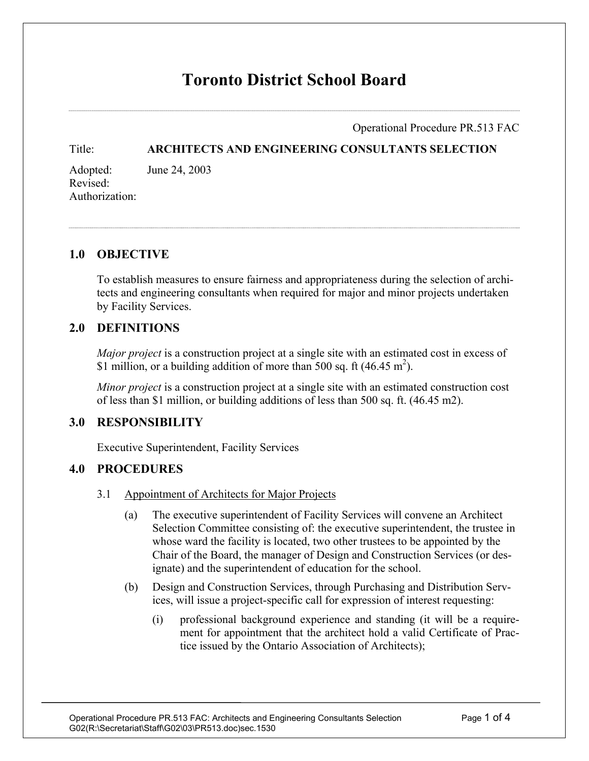# **Toronto District School Board**

Operational Procedure PR.513 FAC

#### Title: **ARCHITECTS AND ENGINEERING CONSULTANTS SELECTION**

Adopted: June 24, 2003 Revised: Authorization:

### **1.0 OBJECTIVE**

To establish measures to ensure fairness and appropriateness during the selection of architects and engineering consultants when required for major and minor projects undertaken by Facility Services.

### **2.0 DEFINITIONS**

*Major project* is a construction project at a single site with an estimated cost in excess of \$1 million, or a building addition of more than 500 sq. ft (46.45 m<sup>2</sup>).

*Minor project* is a construction project at a single site with an estimated construction cost of less than \$1 million, or building additions of less than 500 sq. ft. (46.45 m2).

### **3.0 RESPONSIBILITY**

Executive Superintendent, Facility Services

### **4.0 PROCEDURES**

- 3.1 Appointment of Architects for Major Projects
	- (a) The executive superintendent of Facility Services will convene an Architect Selection Committee consisting of: the executive superintendent, the trustee in whose ward the facility is located, two other trustees to be appointed by the Chair of the Board, the manager of Design and Construction Services (or designate) and the superintendent of education for the school.
	- (b) Design and Construction Services, through Purchasing and Distribution Services, will issue a project-specific call for expression of interest requesting:
		- (i) professional background experience and standing (it will be a requirement for appointment that the architect hold a valid Certificate of Practice issued by the Ontario Association of Architects);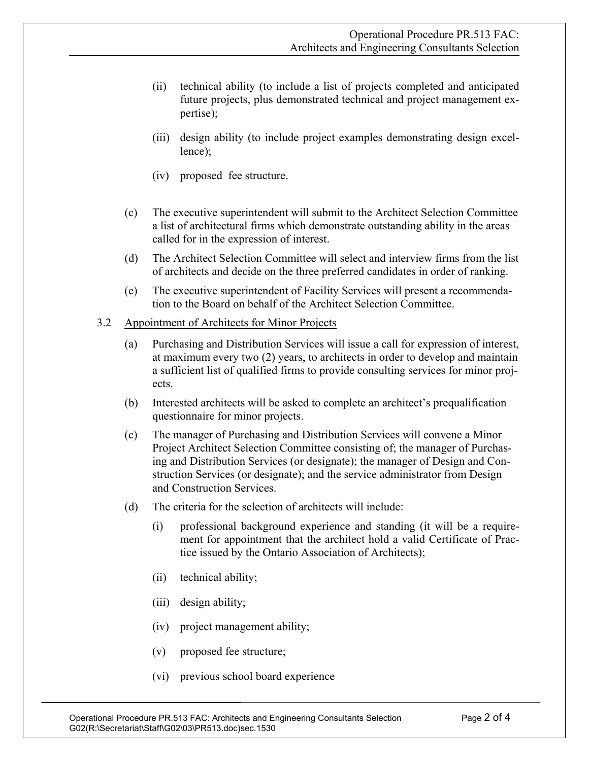- (ii) technical ability (to include a list of projects completed and anticipated future projects, plus demonstrated technical and project management expertise);
- (iii) design ability (to include project examples demonstrating design excellence);
- (iv) proposed fee structure.
- (c) The executive superintendent will submit to the Architect Selection Committee a list of architectural firms which demonstrate outstanding ability in the areas called for in the expression of interest.
- (d) The Architect Selection Committee will select and interview firms from the list of architects and decide on the three preferred candidates in order of ranking.
- (e) The executive superintendent of Facility Services will present a recommendation to the Board on behalf of the Architect Selection Committee.

#### 3.2 Appointment of Architects for Minor Projects

- (a) Purchasing and Distribution Services will issue a call for expression of interest, at maximum every two (2) years, to architects in order to develop and maintain a sufficient list of qualified firms to provide consulting services for minor projects.
- (b) Interested architects will be asked to complete an architect's prequalification questionnaire for minor projects.
- (c) The manager of Purchasing and Distribution Services will convene a Minor Project Architect Selection Committee consisting of; the manager of Purchasing and Distribution Services (or designate); the manager of Design and Construction Services (or designate); and the service administrator from Design and Construction Services.
- (d) The criteria for the selection of architects will include:
	- (i) professional background experience and standing (it will be a requirement for appointment that the architect hold a valid Certificate of Practice issued by the Ontario Association of Architects);
	- (ii) technical ability;
	- (iii) design ability;
	- (iv) project management ability;
	- (v) proposed fee structure;
	- (vi) previous school board experience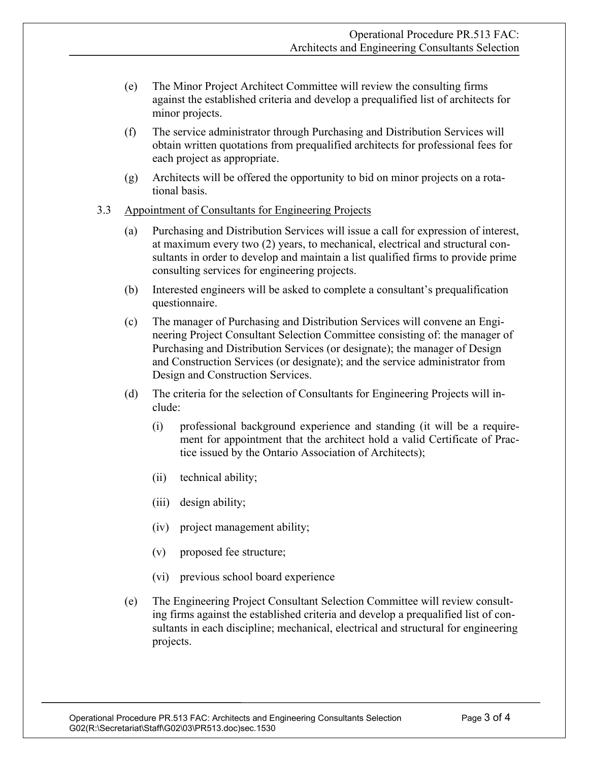- (e) The Minor Project Architect Committee will review the consulting firms against the established criteria and develop a prequalified list of architects for minor projects.
- (f) The service administrator through Purchasing and Distribution Services will obtain written quotations from prequalified architects for professional fees for each project as appropriate.
- (g) Architects will be offered the opportunity to bid on minor projects on a rotational basis.
- 3.3 Appointment of Consultants for Engineering Projects
	- (a) Purchasing and Distribution Services will issue a call for expression of interest, at maximum every two (2) years, to mechanical, electrical and structural consultants in order to develop and maintain a list qualified firms to provide prime consulting services for engineering projects.
	- (b) Interested engineers will be asked to complete a consultant's prequalification questionnaire.
	- (c) The manager of Purchasing and Distribution Services will convene an Engineering Project Consultant Selection Committee consisting of: the manager of Purchasing and Distribution Services (or designate); the manager of Design and Construction Services (or designate); and the service administrator from Design and Construction Services.
	- (d) The criteria for the selection of Consultants for Engineering Projects will include:
		- (i) professional background experience and standing (it will be a requirement for appointment that the architect hold a valid Certificate of Practice issued by the Ontario Association of Architects);
		- (ii) technical ability;
		- (iii) design ability;
		- (iv) project management ability;
		- (v) proposed fee structure;
		- (vi) previous school board experience
	- (e) The Engineering Project Consultant Selection Committee will review consulting firms against the established criteria and develop a prequalified list of consultants in each discipline; mechanical, electrical and structural for engineering projects.